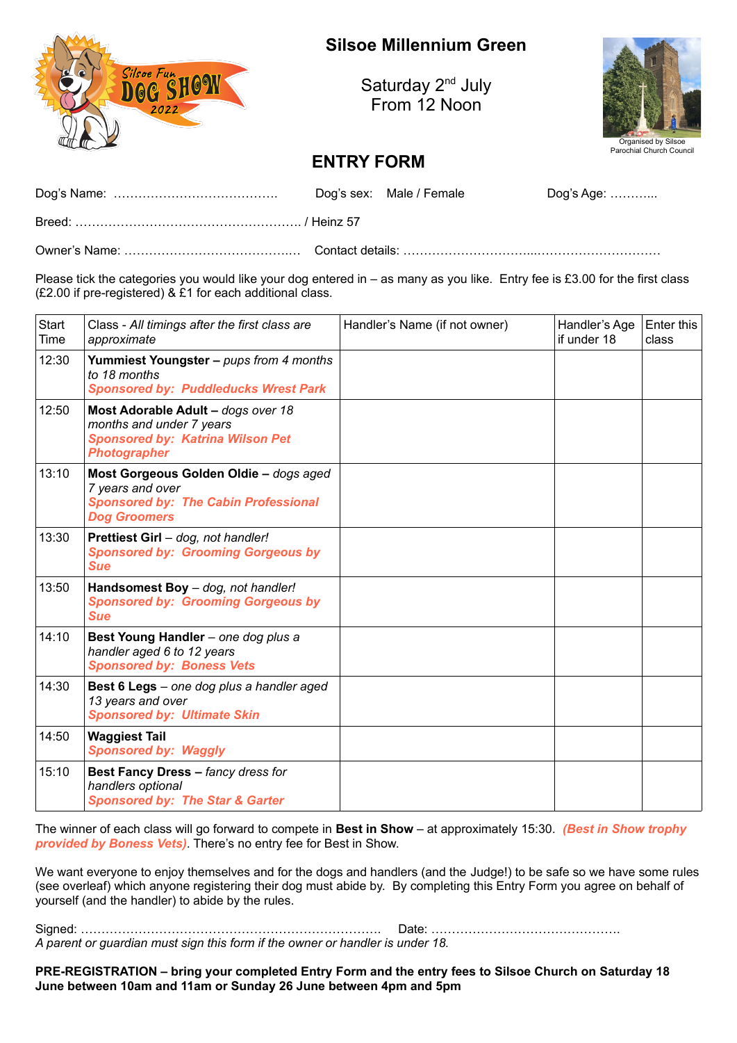

## **Silsoe Millennium Green**

Saturday 2<sup>nd</sup> July From 12 Noon



## **ENTRY FORM**

|  | Dog's sex: Male / Female | Dog's Age: ………… |
|--|--------------------------|-----------------|
|  |                          |                 |
|  |                          |                 |

Please tick the categories you would like your dog entered in – as many as you like. Entry fee is £3.00 for the first class (£2.00 if pre-registered) & £1 for each additional class.

| Start<br>Time | Class - All timings after the first class are<br>approximate                                                                     | Handler's Name (if not owner) | Handler's Age<br>if under 18 | Enter this<br>class |
|---------------|----------------------------------------------------------------------------------------------------------------------------------|-------------------------------|------------------------------|---------------------|
| 12:30         | Yummiest Youngster - pups from 4 months<br>to 18 months<br><b>Sponsored by: Puddleducks Wrest Park</b>                           |                               |                              |                     |
| 12:50         | Most Adorable Adult - dogs over 18<br>months and under 7 years<br><b>Sponsored by: Katrina Wilson Pet</b><br><b>Photographer</b> |                               |                              |                     |
| 13:10         | Most Gorgeous Golden Oldie - dogs aged<br>7 years and over<br><b>Sponsored by: The Cabin Professional</b><br><b>Dog Groomers</b> |                               |                              |                     |
| 13:30         | Prettiest Girl - dog, not handler!<br><b>Sponsored by: Grooming Gorgeous by</b><br><b>Sue</b>                                    |                               |                              |                     |
| 13:50         | Handsomest Boy - dog, not handler!<br><b>Sponsored by: Grooming Gorgeous by</b><br><b>Sue</b>                                    |                               |                              |                     |
| 14:10         | Best Young Handler - one dog plus a<br>handler aged 6 to 12 years<br><b>Sponsored by: Boness Vets</b>                            |                               |                              |                     |
| 14:30         | Best 6 Legs - one dog plus a handler aged<br>13 years and over<br><b>Sponsored by: Ultimate Skin</b>                             |                               |                              |                     |
| 14:50         | <b>Waggiest Tail</b><br><b>Sponsored by: Waggly</b>                                                                              |                               |                              |                     |
| 15:10         | Best Fancy Dress - fancy dress for<br>handlers optional<br><b>Sponsored by: The Star &amp; Garter</b>                            |                               |                              |                     |

The winner of each class will go forward to compete in **Best in Show** – at approximately 15:30. *(Best in Show trophy provided by Boness Vets)*. There's no entry fee for Best in Show.

We want everyone to enjoy themselves and for the dogs and handlers (and the Judge!) to be safe so we have some rules (see overleaf) which anyone registering their dog must abide by. By completing this Entry Form you agree on behalf of yourself (and the handler) to abide by the rules.

Signed: ………………………………………………………………. Date: ………………………………………. *A parent or guardian must sign this form if the owner or handler is under 18.*

**PRE-REGISTRATION – bring your completed Entry Form and the entry fees to Silsoe Church on Saturday 18 June between 10am and 11am or Sunday 26 June between 4pm and 5pm**